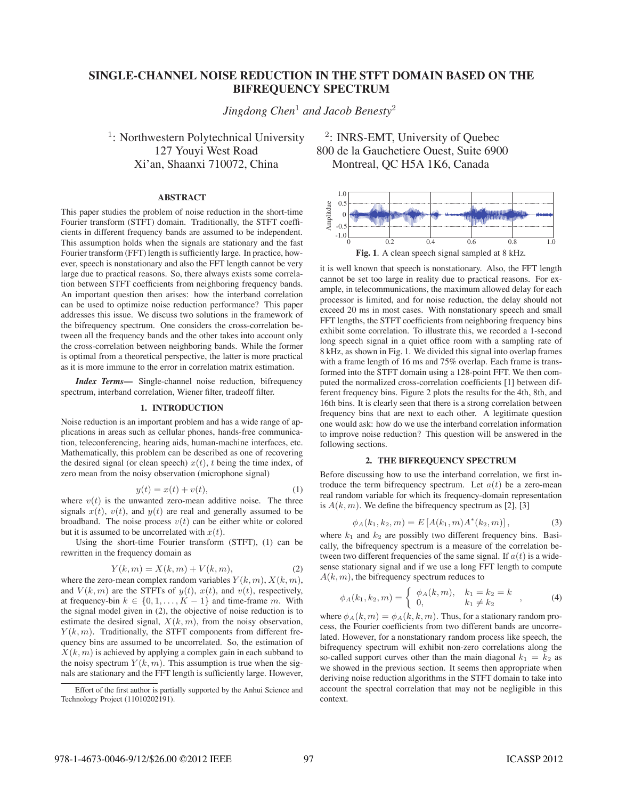# **SINGLE-CHANNEL NOISE REDUCTION IN THE STFT DOMAIN BASED ON THE BIFREQUENCY SPECTRUM**

*Jingdong Chen*<sup>1</sup> *and Jacob Benesty*<sup>2</sup>

<sup>1</sup>: Northwestern Polytechnical University  $\frac{2}{\cdot}$  INRS-EMT, University of Quebec

### **ABSTRACT**

This paper studies the problem of noise reduction in the short-time Fourier transform (STFT) domain. Traditionally, the STFT coefficients in different frequency bands are assumed to be independent. This assumption holds when the signals are stationary and the fast Fourier transform (FFT) length is sufficiently large. In practice, however, speech is nonstationary and also the FFT length cannot be very large due to practical reasons. So, there always exists some correlation between STFT coefficients from neighboring frequency bands. An important question then arises: how the interband correlation can be used to optimize noise reduction performance? This paper addresses this issue. We discuss two solutions in the framework of the bifrequency spectrum. One considers the cross-correlation between all the frequency bands and the other takes into account only the cross-correlation between neighboring bands. While the former is optimal from a theoretical perspective, the latter is more practical as it is more immune to the error in correlation matrix estimation.

*Index Terms***—** Single-channel noise reduction, bifrequency spectrum, interband correlation, Wiener filter, tradeoff filter.

## **1. INTRODUCTION**

Noise reduction is an important problem and has a wide range of applications in areas such as cellular phones, hands-free communication, teleconferencing, hearing aids, human-machine interfaces, etc. Mathematically, this problem can be described as one of recovering the desired signal (or clean speech)  $x(t)$ , t being the time index, of zero mean from the noisy observation (microphone signal)

$$
y(t) = x(t) + v(t),\tag{1}
$$

where  $v(t)$  is the unwanted zero-mean additive noise. The three signals  $x(t)$ ,  $v(t)$ , and  $y(t)$  are real and generally assumed to be broadband. The noise process  $v(t)$  can be either white or colored but it is assumed to be uncorrelated with  $x(t)$ .

Using the short-time Fourier transform (STFT), (1) can be rewritten in the frequency domain as

$$
Y(k,m) = X(k,m) + V(k,m),\tag{2}
$$

where the zero-mean complex random variables  $Y(k, m)$ ,  $X(k, m)$ , and  $V(k, m)$  are the STFTs of  $y(t)$ ,  $x(t)$ , and  $v(t)$ , respectively, at frequency-bin  $k \in \{0, 1, \ldots, K - 1\}$  and time-frame m. With the signal model given in (2), the objective of noise reduction is to estimate the desired signal,  $X(k, m)$ , from the noisy observation,  $Y(k, m)$ . Traditionally, the STFT components from different frequency bins are assumed to be uncorrelated. So, the estimation of  $X(k, m)$  is achieved by applying a complex gain in each subband to the noisy spectrum  $Y(k, m)$ . This assumption is true when the signals are stationary and the FFT length is sufficiently large. However,

127 Youyi West Road 800 de la Gauchetiere Ouest, Suite 6900 Xi'an, Shaanxi 710072, China Montreal, QC H5A 1K6, Canada



it is well known that speech is nonstationary. Also, the FFT length cannot be set too large in reality due to practical reasons. For example, in telecommunications, the maximum allowed delay for each processor is limited, and for noise reduction, the delay should not exceed 20 ms in most cases. With nonstationary speech and small FFT lengths, the STFT coefficients from neighboring frequency bins exhibit some correlation. To illustrate this, we recorded a 1-second long speech signal in a quiet office room with a sampling rate of 8 kHz, as shown in Fig. 1. We divided this signal into overlap frames with a frame length of 16 ms and 75% overlap. Each frame is transformed into the STFT domain using a 128-point FFT. We then computed the normalized cross-correlation coefficients [1] between different frequency bins. Figure 2 plots the results for the 4th, 8th, and 16th bins. It is clearly seen that there is a strong correlation between frequency bins that are next to each other. A legitimate question one would ask: how do we use the interband correlation information to improve noise reduction? This question will be answered in the following sections.

## **2. THE BIFREQUENCY SPECTRUM**

Before discussing how to use the interband correlation, we first introduce the term bifrequency spectrum. Let  $a(t)$  be a zero-mean real random variable for which its frequency-domain representation is  $A(k, m)$ . We define the bifrequency spectrum as [2], [3]

$$
\phi_A(k_1, k_2, m) = E\left[A(k_1, m)A^*(k_2, m)\right],\tag{3}
$$

where  $k_1$  and  $k_2$  are possibly two different frequency bins. Basically, the bifrequency spectrum is a measure of the correlation between two different frequencies of the same signal. If  $a(t)$  is a widesense stationary signal and if we use a long FFT length to compute  $A(k, m)$ , the bifrequency spectrum reduces to

$$
\phi_A(k_1, k_2, m) = \begin{cases} \phi_A(k, m), & k_1 = k_2 = k \\ 0, & k_1 \neq k_2 \end{cases},
$$
 (4)

where  $\phi_A(k,m) = \phi_A(k,k,m)$ . Thus, for a stationary random process, the Fourier coefficients from two different bands are uncorrelated. However, for a nonstationary random process like speech, the bifrequency spectrum will exhibit non-zero correlations along the so-called support curves other than the main diagonal  $k_1 = k_2$  as we showed in the previous section. It seems then appropriate when deriving noise reduction algorithms in the STFT domain to take into account the spectral correlation that may not be negligible in this context.

Effort of the first author is partially supported by the Anhui Science and Technology Project (11010202191).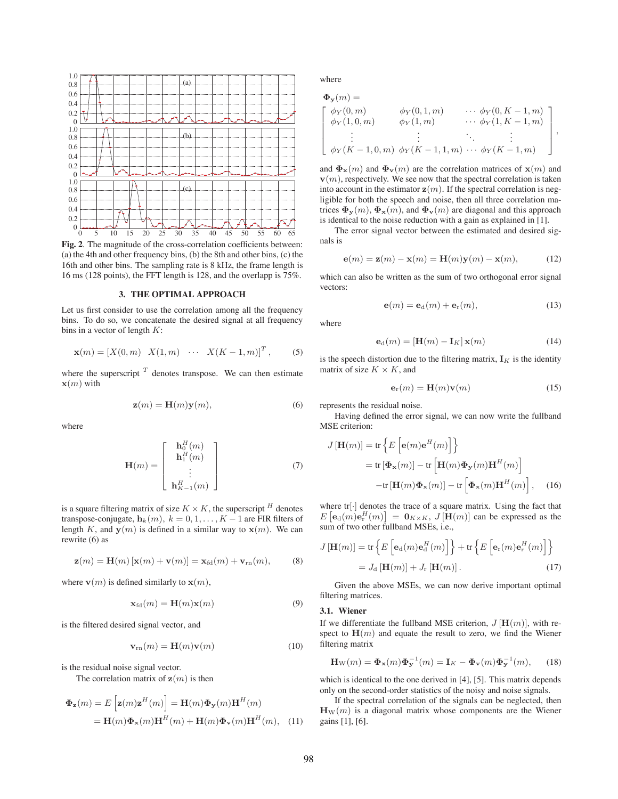

**Fig. 2**. The magnitude of the cross-correlation coefficients between: (a) the 4th and other frequency bins, (b) the 8th and other bins, (c) the 16th and other bins. The sampling rate is 8 kHz, the frame length is 16 ms (128 points), the FFT length is 128, and the overlapp is 75%.

## **3. THE OPTIMAL APPROACH**

Let us first consider to use the correlation among all the frequency bins. To do so, we concatenate the desired signal at all frequency bins in a vector of length  $K$ :

$$
\mathbf{x}(m) = [X(0, m) \ X(1, m) \ \cdots \ X(K-1, m)]^T, \qquad (5)
$$

where the superscript  $T$  denotes transpose. We can then estimate  $\mathbf{x}(m)$  with

$$
\mathbf{z}(m) = \mathbf{H}(m)\mathbf{y}(m),\tag{6}
$$

where

$$
\mathbf{H}(m) = \begin{bmatrix} \mathbf{h}_0^H(m) \\ \mathbf{h}_1^H(m) \\ \vdots \\ \mathbf{h}_{K-1}^H(m) \end{bmatrix}
$$
(7)

is a square filtering matrix of size  $K \times K$ , the superscript  $^H$  denotes transpose-conjugate,  $h_k(m)$ ,  $k = 0, 1, ..., K - 1$  are FIR filters of length K, and  $y(m)$  is defined in a similar way to  $x(m)$ . We can rewrite (6) as

$$
\mathbf{z}(m) = \mathbf{H}(m) \left[ \mathbf{x}(m) + \mathbf{v}(m) \right] = \mathbf{x}_{\text{fd}}(m) + \mathbf{v}_{\text{rn}}(m), \quad (8)
$$

where  $\mathbf{v}(m)$  is defined similarly to  $\mathbf{x}(m)$ ,

$$
\mathbf{x}_{\text{fd}}(m) = \mathbf{H}(m)\mathbf{x}(m) \tag{9}
$$

is the filtered desired signal vector, and

$$
\mathbf{v}_{\rm rn}(m) = \mathbf{H}(m)\mathbf{v}(m) \tag{10}
$$

is the residual noise signal vector.

The correlation matrix of  $z(m)$  is then

$$
\Phi_{\mathbf{z}}(m) = E\left[\mathbf{z}(m)\mathbf{z}^{H}(m)\right] = \mathbf{H}(m)\Phi_{\mathbf{y}}(m)\mathbf{H}^{H}(m)
$$

$$
= \mathbf{H}(m)\Phi_{\mathbf{x}}(m)\mathbf{H}^{H}(m) + \mathbf{H}(m)\Phi_{\mathbf{v}}(m)\mathbf{H}^{H}(m), \quad (11)
$$

where

$$
\Phi_{\mathbf{y}}(m) = \begin{bmatrix}\n\phi_{Y}(0, m) & \phi_{Y}(0, 1, m) & \cdots & \phi_{Y}(0, K-1, m) \\
\phi_{Y}(1, 0, m) & \phi_{Y}(1, m) & \cdots & \phi_{Y}(1, K-1, m) \\
\vdots & \vdots & \ddots & \vdots \\
\phi_{Y}(K-1, 0, m) & \phi_{Y}(K-1, 1, m) & \cdots & \phi_{Y}(K-1, m)\n\end{bmatrix},
$$

and  $\Phi$ **x**(m) and  $\Phi$ **v**(m) are the correlation matrices of **x**(m) and **, respectively. We see now that the spectral correlation is taken** into account in the estimator  $z(m)$ . If the spectral correlation is negligible for both the speech and noise, then all three correlation matrices  $\Phi_{\mathbf{y}}(m)$ ,  $\Phi_{\mathbf{x}}(m)$ , and  $\Phi_{\mathbf{v}}(m)$  are diagonal and this approach is identical to the noise reduction with a gain as explained in [1].

The error signal vector between the estimated and desired sig-

nals is

$$
\mathbf{e}(m) = \mathbf{z}(m) - \mathbf{x}(m) = \mathbf{H}(m)\mathbf{y}(m) - \mathbf{x}(m), \quad (12)
$$

which can also be written as the sum of two orthogonal error signal vectors:

$$
\mathbf{e}(m) = \mathbf{e}_{d}(m) + \mathbf{e}_{r}(m), \qquad (13)
$$

where

$$
\mathbf{e}_{d}(m) = \left[\mathbf{H}(m) - \mathbf{I}_{K}\right] \mathbf{x}(m) \tag{14}
$$

is the speech distortion due to the filtering matrix,  $\mathbf{I}_K$  is the identity matrix of size  $K \times K$ , and

$$
\mathbf{e}_r(m) = \mathbf{H}(m)\mathbf{v}(m) \tag{15}
$$

represents the residual noise.

Having defined the error signal, we can now write the fullband MSE criterion:

$$
J\left[\mathbf{H}(m)\right] = \text{tr}\left\{E\left[\mathbf{e}(m)\mathbf{e}^H(m)\right]\right\}
$$

$$
= \text{tr}\left[\mathbf{\Phi}_{\mathbf{x}}(m)\right] - \text{tr}\left[\mathbf{H}(m)\mathbf{\Phi}_{\mathbf{y}}(m)\mathbf{H}^H(m)\right]
$$

$$
-\text{tr}\left[\mathbf{H}(m)\mathbf{\Phi}_{\mathbf{x}}(m)\right] - \text{tr}\left[\mathbf{\Phi}_{\mathbf{x}}(m)\mathbf{H}^H(m)\right], \quad (16)
$$

where tr<sup>[.]</sup> denotes the trace of a square matrix. Using the fact that  $E\left[\mathbf{e}_{d}(m)\mathbf{e}_{r}^{H}(m)\right] = \mathbf{0}_{K\times K}$ ,  $J\left[\mathbf{H}(m)\right]$  can be expressed as the sum of two other fullband MSEs, i.e.,

$$
J\left[\mathbf{H}(m)\right] = \text{tr}\left\{E\left[\mathbf{e}_{\text{d}}(m)\mathbf{e}_{\text{d}}^{H}(m)\right]\right\} + \text{tr}\left\{E\left[\mathbf{e}_{\text{r}}(m)\mathbf{e}_{\text{r}}^{H}(m)\right]\right\}
$$

$$
= J_{\text{d}}\left[\mathbf{H}(m)\right] + J_{\text{r}}\left[\mathbf{H}(m)\right]. \tag{17}
$$

Given the above MSEs, we can now derive important optimal filtering matrices.

## **3.1. Wiener**

If we differentiate the fullband MSE criterion,  $J[\mathbf{H}(m)]$ , with respect to  $H(m)$  and equate the result to zero, we find the Wiener filtering matrix

$$
\mathbf{H}_{\mathbf{W}}(m) = \mathbf{\Phi}_{\mathbf{x}}(m)\mathbf{\Phi}_{\mathbf{y}}^{-1}(m) = \mathbf{I}_K - \mathbf{\Phi}_{\mathbf{v}}(m)\mathbf{\Phi}_{\mathbf{y}}^{-1}(m),\qquad(18)
$$

which is identical to the one derived in [4], [5]. This matrix depends only on the second-order statistics of the noisy and noise signals.

If the spectral correlation of the signals can be neglected, then  $\mathbf{H}_{\mathrm{W}}(m)$  is a diagonal matrix whose components are the Wiener gains [1], [6].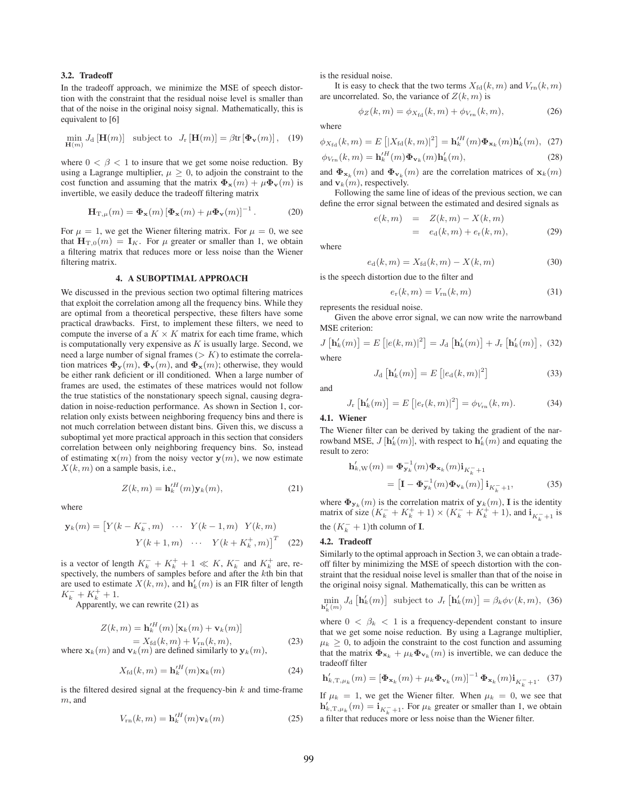### **3.2. Tradeoff**

In the tradeoff approach, we minimize the MSE of speech distortion with the constraint that the residual noise level is smaller than that of the noise in the original noisy signal. Mathematically, this is equivalent to [6]

$$
\min_{\mathbf{H}(m)} J_{\mathrm{d}}\left[\mathbf{H}(m)\right] \text{ subject to } J_{\mathrm{r}}\left[\mathbf{H}(m)\right] = \beta \mathrm{tr}\left[\mathbf{\Phi}_{\mathbf{v}}(m)\right], \quad (19)
$$

where  $0 < \beta < 1$  to insure that we get some noise reduction. By using a Lagrange multiplier,  $\mu \geq 0$ , to adjoin the constraint to the cost function and assuming that the matrix  $\Phi_{\mathbf{x}}(m) + \mu \Phi_{\mathbf{v}}(m)$  is invertible, we easily deduce the tradeoff filtering matrix

$$
\mathbf{H}_{\mathrm{T},\mu}(m) = \mathbf{\Phi}_{\mathbf{x}}(m) \left[ \mathbf{\Phi}_{\mathbf{x}}(m) + \mu \mathbf{\Phi}_{\mathbf{v}}(m) \right]^{-1}.
$$
 (20)

For  $\mu = 1$ , we get the Wiener filtering matrix. For  $\mu = 0$ , we see that  $\mathbf{H}_{\mathrm{T},0}(m) = \mathbf{I}_K$ . For  $\mu$  greater or smaller than 1, we obtain a filtering matrix that reduces more or less noise than the Wiener filtering matrix.

#### **4. A SUBOPTIMAL APPROACH**

We discussed in the previous section two optimal filtering matrices that exploit the correlation among all the frequency bins. While they are optimal from a theoretical perspective, these filters have some practical drawbacks. First, to implement these filters, we need to compute the inverse of a  $K \times K$  matrix for each time frame, which is computationally very expensive as  $K$  is usually large. Second, we need a large number of signal frames ( $> K$ ) to estimate the correlation matrices  $\Phi_{\mathbf{v}}(m)$ ,  $\Phi_{\mathbf{v}}(m)$ , and  $\Phi_{\mathbf{x}}(m)$ ; otherwise, they would be either rank deficient or ill conditioned. When a large number of frames are used, the estimates of these matrices would not follow the true statistics of the nonstationary speech signal, causing degradation in noise-reduction performance. As shown in Section 1, correlation only exists between neighboring frequency bins and there is not much correlation between distant bins. Given this, we discuss a suboptimal yet more practical approach in this section that considers correlation between only neighboring frequency bins. So, instead of estimating  $\mathbf{x}(m)$  from the noisy vector  $\mathbf{y}(m)$ , we now estimate  $X(k, m)$  on a sample basis, i.e.,

$$
Z(k,m) = \mathbf{h}_k^{\prime H}(m)\mathbf{y}_k(m),\tag{21}
$$

where

$$
\mathbf{y}_k(m) = \begin{bmatrix} Y(k - K_k^-, m) & \cdots & Y(k - 1, m) & Y(k, m) \\ Y(k + 1, m) & \cdots & Y(k + K_k^+, m) \end{bmatrix}^T
$$
 (22)

is a vector of length  $K_k^- + K_k^+ + 1 \ll K$ ,  $K_k^-$  and  $K_k^+$  are, respectively, the numbers of samples before and after the kth bin that are used to estimate  $X(k, m)$ , and  $h'_{k}(m)$  is an FIR filter of length  $K_k^- + K_k^+ + 1.$ 

Apparently, we can rewrite (21) as

$$
Z(k, m) = \mathbf{h}_k^{'H}(m) [\mathbf{x}_k(m) + \mathbf{v}_k(m)]
$$
  
=  $X_{\text{fd}}(k, m) + V_{\text{rn}}(k, m),$   
where  $\mathbf{x}_k(m)$  and  $\mathbf{v}_k(m)$  are defined similarly to  $\mathbf{y}_k(m)$ , (23)

$$
X_{\text{fd}}(k,m) = \mathbf{h}_{k}^{\prime H}(m)\mathbf{x}_{k}(m) \tag{24}
$$

is the filtered desired signal at the frequency-bin  $k$  and time-frame m, and

$$
V_{\rm rn}(k,m) = \mathbf{h}_k^{\prime H}(m)\mathbf{v}_k(m) \tag{25}
$$

is the residual noise.

It is easy to check that the two terms  $X_{\text{fd}}(k,m)$  and  $V_{\text{rn}}(k,m)$ are uncorrelated. So, the variance of  $Z(k, m)$  is

$$
\phi_Z(k, m) = \phi_{X_{\text{fd}}}(k, m) + \phi_{V_{\text{rn}}}(k, m), \tag{26}
$$

where

$$
\phi_{X_{\text{fd}}}(k,m) = E\left[|X_{\text{fd}}(k,m)|^2\right] = \mathbf{h}_k^{\prime H}(m)\Phi_{\mathbf{x}_k}(m)\mathbf{h}_k'(m),\tag{27}
$$

$$
\phi_{V_{\rm rn}}(k,m) = \mathbf{h}_k^{\prime H}(m)\boldsymbol{\Phi}_{\mathbf{v}_k}(m)\mathbf{h}_k'(m),\tag{28}
$$

and  $\Phi_{\mathbf{x}_k}(m)$  and  $\Phi_{\mathbf{v}_k}(m)$  are the correlation matrices of  $\mathbf{x}_k(m)$ and  $\mathbf{v}_k(m)$ , respectively.

Following the same line of ideas of the previous section, we can define the error signal between the estimated and desired signals as

$$
e(k,m) = Z(k,m) - X(k,m)
$$
  
=  $e_d(k,m) + e_r(k,m)$ , (29)

where

$$
e_{\rm d}(k,m) = X_{\rm fd}(k,m) - X(k,m) \tag{30}
$$

is the speech distortion due to the filter and

$$
e_{\rm r}(k,m) = V_{\rm rn}(k,m) \tag{31}
$$

represents the residual noise.

Given the above error signal, we can now write the narrowband MSE criterion:

$$
J\left[\mathbf{h}'_k(m)\right] = E\left[|e(k,m)|^2\right] = J_\mathrm{d}\left[\mathbf{h}'_k(m)\right] + J_\mathrm{r}\left[\mathbf{h}'_k(m)\right],\tag{32}
$$

where

$$
J_{\rm d}\left[\mathbf{h}'_k(m)\right] = E\left[|e_{\rm d}(k,m)|^2\right] \tag{33}
$$

and

$$
J_{\rm r}\left[\mathbf{h}'_k(m)\right] = E\left[|e_{\rm r}(k,m)|^2\right] = \phi_{V_{\rm rn}}(k,m). \tag{34}
$$

#### **4.1. Wiener**

The Wiener filter can be derived by taking the gradient of the narrowband MSE,  $J[\mathbf{h}'_k(m)]$ , with respect to  $\mathbf{h}'_k(m)$  and equating the result to zero:

$$
\mathbf{h}'_{k,\mathbf{W}}(m) = \mathbf{\Phi}_{\mathbf{y}_k}^{-1}(m)\mathbf{\Phi}_{\mathbf{x}_k}(m)\mathbf{i}_{K_k^-+1}
$$

$$
= \left[\mathbf{I} - \mathbf{\Phi}_{\mathbf{y}_k}^{-1}(m)\mathbf{\Phi}_{\mathbf{v}_k}(m)\right]\mathbf{i}_{K_k^-+1},
$$
(35)

where  $\mathbf{\Phi}_{\mathbf{y}_k}(m)$  is the correlation matrix of  $\mathbf{y}_k(m)$ , **I** is the identity matrix of size  $(K_k^- + K_k^+ + 1) \times (K_k^- + K_k^+ + 1)$ , and  $\mathbf{i}_{K_k^- + 1}$  is the  $(K_k^- + 1)$ th column of **I**.

#### **4.2. Tradeoff**

Similarly to the optimal approach in Section 3, we can obtain a tradeoff filter by minimizing the MSE of speech distortion with the constraint that the residual noise level is smaller than that of the noise in the original noisy signal. Mathematically, this can be written as

$$
\min_{\mathbf{h}'_k(m)} J_{\mathbf{d}} \left[ \mathbf{h}'_k(m) \right] \text{ subject to } J_{\mathbf{r}} \left[ \mathbf{h}'_k(m) \right] = \beta_k \phi_V(k, m), \tag{36}
$$

where  $0 < \beta_k < 1$  is a frequency-dependent constant to insure that we get some noise reduction. By using a Lagrange multiplier,  $\mu_k \geq 0$ , to adjoin the constraint to the cost function and assuming that the matrix  $\mathbf{\Phi}_{\mathbf{x}_k} + \mu_k \mathbf{\Phi}_{\mathbf{v}_k}(m)$  is invertible, we can deduce the tradeoff filter

$$
\mathbf{h}_{k,\mathrm{T},\mu_k}'(m) = \left[\mathbf{\Phi}_{\mathbf{x}_k}(m) + \mu_k \mathbf{\Phi}_{\mathbf{v}_k}(m)\right]^{-1} \mathbf{\Phi}_{\mathbf{x}_k}(m) \mathbf{i}_{K_k^- + 1}. \tag{37}
$$

If  $\mu_k = 1$ , we get the Wiener filter. When  $\mu_k = 0$ , we see that  $\mathbf{h}'_{k,\mathrm{T},\mu_k}(m) = \mathbf{i}_{K_k^- + 1}$ . For  $\mu_k$  greater or smaller than 1, we obtain a filter that reduces more or less noise than the Wiener filter.